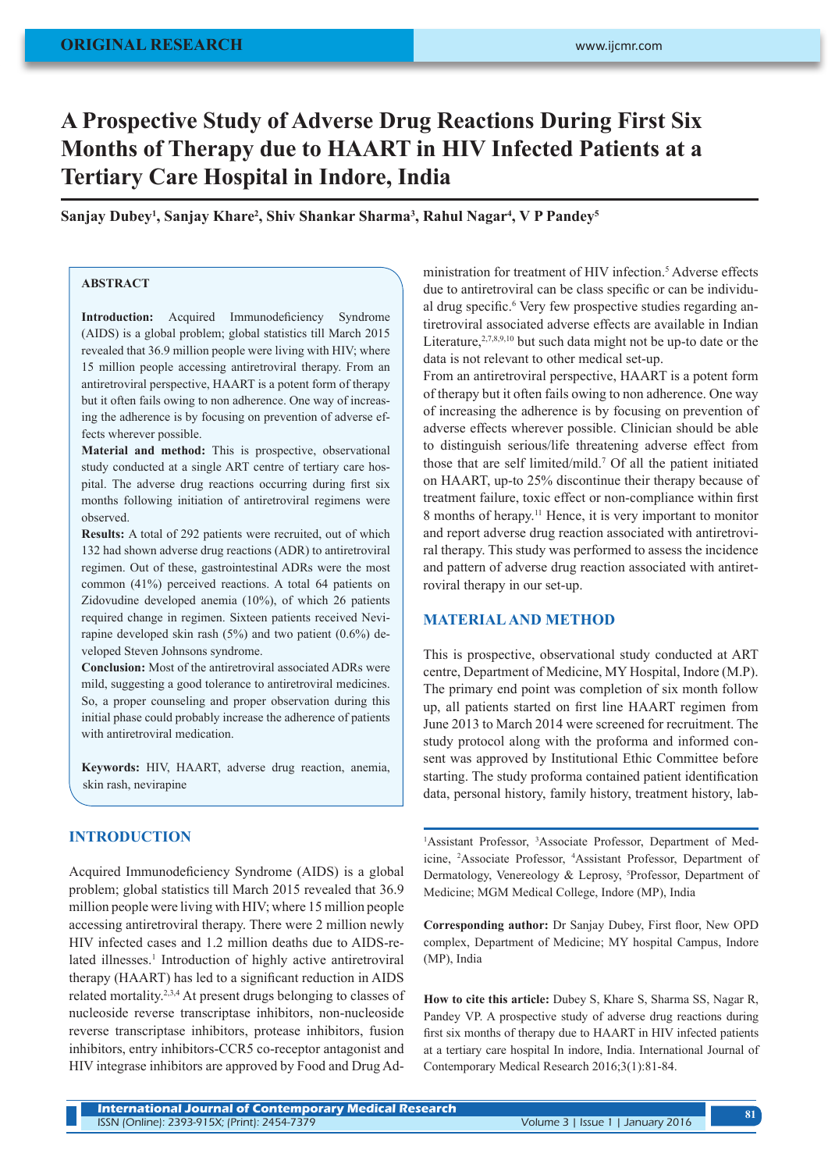# **A Prospective Study of Adverse Drug Reactions During First Six Months of Therapy due to HAART in HIV Infected Patients at a Tertiary Care Hospital in Indore, India**

 $\mathbf{S}$ anjay Dubey<sup>1</sup>, Sanjay Khare<sup>2</sup>, Shiv Shankar Sharma<sup>3</sup>, Rahul Nagar<sup>4</sup>, V P Pandey<sup>5</sup>

# **ABSTRACT**

**Introduction:** Acquired Immunodeficiency Syndrome (AIDS) is a global problem; global statistics till March 2015 revealed that 36.9 million people were living with HIV; where 15 million people accessing antiretroviral therapy. From an antiretroviral perspective, HAART is a potent form of therapy but it often fails owing to non adherence. One way of increasing the adherence is by focusing on prevention of adverse effects wherever possible.

**Material and method:** This is prospective, observational study conducted at a single ART centre of tertiary care hospital. The adverse drug reactions occurring during first six months following initiation of antiretroviral regimens were observed.

**Results:** A total of 292 patients were recruited, out of which 132 had shown adverse drug reactions (ADR) to antiretroviral regimen. Out of these, gastrointestinal ADRs were the most common (41%) perceived reactions. A total 64 patients on Zidovudine developed anemia (10%), of which 26 patients required change in regimen. Sixteen patients received Nevirapine developed skin rash (5%) and two patient (0.6%) developed Steven Johnsons syndrome.

**Conclusion:** Most of the antiretroviral associated ADRs were mild, suggesting a good tolerance to antiretroviral medicines. So, a proper counseling and proper observation during this initial phase could probably increase the adherence of patients with antiretroviral medication.

**Keywords:** HIV, HAART, adverse drug reaction, anemia, skin rash, nevirapine

## **INTRODUCTION**

Acquired Immunodeficiency Syndrome (AIDS) is a global problem; global statistics till March 2015 revealed that 36.9 million people were living with HIV; where 15 million people accessing antiretroviral therapy. There were 2 million newly HIV infected cases and 1.2 million deaths due to AIDS-related illnesses.<sup>1</sup> Introduction of highly active antiretroviral therapy (HAART) has led to a significant reduction in AIDS related mortality.2,3,4 At present drugs belonging to classes of nucleoside reverse transcriptase inhibitors, non-nucleoside reverse transcriptase inhibitors, protease inhibitors, fusion inhibitors, entry inhibitors-CCR5 co-receptor antagonist and HIV integrase inhibitors are approved by Food and Drug Ad-

ministration for treatment of HIV infection.<sup>5</sup> Adverse effects due to antiretroviral can be class specific or can be individual drug specific.<sup>6</sup> Very few prospective studies regarding antiretroviral associated adverse effects are available in Indian Literature,  $2,7,8,9,10$  but such data might not be up-to date or the data is not relevant to other medical set-up.

From an antiretroviral perspective, HAART is a potent form of therapy but it often fails owing to non adherence. One way of increasing the adherence is by focusing on prevention of adverse effects wherever possible. Clinician should be able to distinguish serious/life threatening adverse effect from those that are self limited/mild.7 Of all the patient initiated on HAART, up-to 25% discontinue their therapy because of treatment failure, toxic effect or non-compliance within first 8 months of herapy.11 Hence, it is very important to monitor and report adverse drug reaction associated with antiretroviral therapy. This study was performed to assess the incidence and pattern of adverse drug reaction associated with antiretroviral therapy in our set-up.

#### **MATERIAL AND METHOD**

This is prospective, observational study conducted at ART centre, Department of Medicine, MY Hospital, Indore (M.P). The primary end point was completion of six month follow up, all patients started on first line HAART regimen from June 2013 to March 2014 were screened for recruitment. The study protocol along with the proforma and informed consent was approved by Institutional Ethic Committee before starting. The study proforma contained patient identification data, personal history, family history, treatment history, lab-

<sup>1</sup>Assistant Professor, <sup>3</sup>Associate Professor, Department of Medicine, 2 Associate Professor, <sup>4</sup> Assistant Professor, Department of Dermatology, Venereology & Leprosy, <sup>5</sup>Professor, Department of Medicine; MGM Medical College, Indore (MP), India

**Corresponding author:** Dr Sanjay Dubey, First floor, New OPD complex, Department of Medicine; MY hospital Campus, Indore (MP), India

**How to cite this article:** Dubey S, Khare S, Sharma SS, Nagar R, Pandey VP. A prospective study of adverse drug reactions during first six months of therapy due to HAART in HIV infected patients at a tertiary care hospital In indore, India. International Journal of Contemporary Medical Research 2016;3(1):81-84.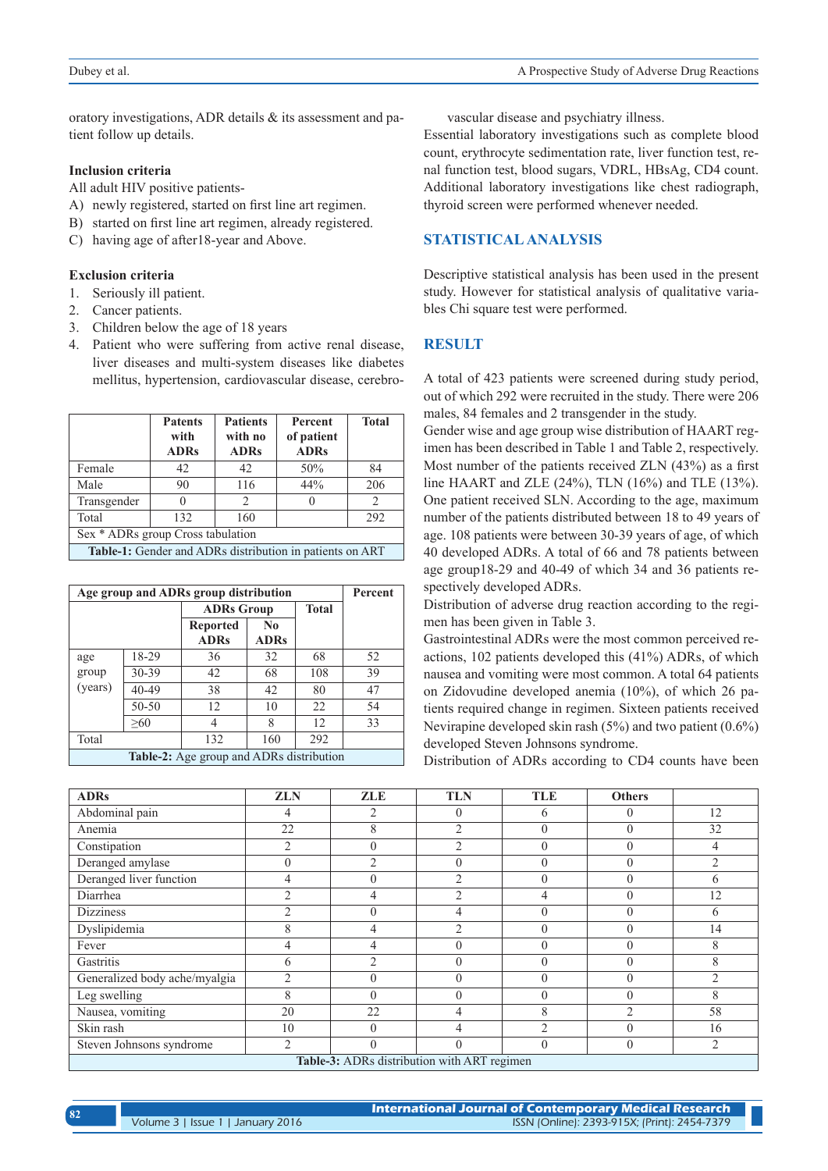oratory investigations, ADR details & its assessment and patient follow up details.

#### **Inclusion criteria**

All adult HIV positive patients-

- A) newly registered, started on first line art regimen.
- B) started on first line art regimen, already registered.
- C) having age of after18-year and Above.

#### **Exclusion criteria**

- 1. Seriously ill patient.
- 2. Cancer patients.
- 3. Children below the age of 18 years
- 4. Patient who were suffering from active renal disease, liver diseases and multi-system diseases like diabetes mellitus, hypertension, cardiovascular disease, cerebro-

|                                                          | <b>Patents</b><br>with<br><b>ADRs</b> | <b>Patients</b><br>with no<br><b>ADRs</b> | Percent<br>of patient<br><b>ADRs</b> | <b>Total</b> |  |  |
|----------------------------------------------------------|---------------------------------------|-------------------------------------------|--------------------------------------|--------------|--|--|
| Female                                                   | 42                                    | 42                                        | 50%                                  | 84           |  |  |
| Male                                                     | 90                                    | 116                                       | 44%                                  | 206          |  |  |
| Transgender                                              |                                       | $\mathcal{D}_{\mathcal{A}}$               | $\cup$                               |              |  |  |
| Total                                                    | 132                                   | 160                                       |                                      | 292          |  |  |
| Sex * ADRs group Cross tabulation                        |                                       |                                           |                                      |              |  |  |
| Table 1. Cander and ADDs distribution in patients on ADT |                                       |                                           |                                      |              |  |  |

**Table-1:** Gender and ADRs distribution in patients on ART

| Age group and ADRs group distribution    |       |                   |                |              | Percent |
|------------------------------------------|-------|-------------------|----------------|--------------|---------|
|                                          |       | <b>ADRs Group</b> |                | <b>Total</b> |         |
|                                          |       | <b>Reported</b>   | N <sub>0</sub> |              |         |
|                                          |       | <b>ADRs</b>       | <b>ADRs</b>    |              |         |
| age                                      | 18-29 | 36                | 32             | 68           | 52      |
| group                                    | 30-39 | 42                | 68             | 108          | 39      |
| (years)                                  | 40-49 | 38                | 42             | 80           | 47      |
|                                          | 50-50 | 12                | 10             | 22           | 54      |
|                                          | >60   | 4                 | 8              | 12           | 33      |
| Total                                    |       | 132               | 160            | 292          |         |
| Table-2: Age group and ADRs distribution |       |                   |                |              |         |

vascular disease and psychiatry illness.

Essential laboratory investigations such as complete blood count, erythrocyte sedimentation rate, liver function test, renal function test, blood sugars, VDRL, HBsAg, CD4 count. Additional laboratory investigations like chest radiograph, thyroid screen were performed whenever needed.

# **STATISTICAL ANALYSIS**

Descriptive statistical analysis has been used in the present study. However for statistical analysis of qualitative variables Chi square test were performed.

### **RESULT**

A total of 423 patients were screened during study period, out of which 292 were recruited in the study. There were 206 males, 84 females and 2 transgender in the study.

Gender wise and age group wise distribution of HAART regimen has been described in Table 1 and Table 2, respectively. Most number of the patients received ZLN (43%) as a first line HAART and ZLE (24%), TLN (16%) and TLE (13%). One patient received SLN. According to the age, maximum number of the patients distributed between 18 to 49 years of age. 108 patients were between 30-39 years of age, of which 40 developed ADRs. A total of 66 and 78 patients between age group18-29 and 40-49 of which 34 and 36 patients respectively developed ADRs.

Distribution of adverse drug reaction according to the regimen has been given in Table 3.

Gastrointestinal ADRs were the most common perceived reactions, 102 patients developed this (41%) ADRs, of which nausea and vomiting were most common. A total 64 patients on Zidovudine developed anemia (10%), of which 26 patients required change in regimen. Sixteen patients received Nevirapine developed skin rash (5%) and two patient (0.6%) developed Steven Johnsons syndrome.

Distribution of ADRs according to CD4 counts have been

| <b>ADRs</b>                                        | <b>ZLN</b>     | <b>ZLE</b>     | <b>TLN</b>     | <b>TLE</b>     | <b>Others</b>  |                |
|----------------------------------------------------|----------------|----------------|----------------|----------------|----------------|----------------|
| Abdominal pain                                     | 4              | 2              | $\theta$       | 6              | $\Omega$       | 12             |
| Anemia                                             | 22             | 8              | $\overline{2}$ | $\theta$       | $\theta$       | 32             |
| Constipation                                       | 2              | $\theta$       | $\overline{2}$ | $\theta$       | $\theta$       | 4              |
| Deranged amylase                                   | $\Omega$       | $\overline{2}$ | $\theta$       | $\theta$       | $\Omega$       | $\overline{2}$ |
| Deranged liver function                            | 4              | $\theta$       | $\overline{2}$ | $\theta$       | $\Omega$       | 6              |
| Diarrhea                                           | $\overline{2}$ | 4              | $\overline{2}$ | 4              | $\theta$       | 12             |
| <b>Dizziness</b>                                   | $\overline{2}$ | $\theta$       | 4              | $\theta$       | $\theta$       | 6              |
| Dyslipidemia                                       | 8              | 4              | $\overline{2}$ | $\theta$       | $\theta$       | 14             |
| Fever                                              | 4              | 4              | $\mathbf{0}$   | $\theta$       | $\theta$       | 8              |
| Gastritis                                          | 6              | $\overline{2}$ | $\theta$       | $\theta$       | $\theta$       | 8              |
| Generalized body ache/myalgia                      | $\overline{2}$ | 0              | $\mathbf{0}$   | $\theta$       | $\theta$       | $\overline{2}$ |
| Leg swelling                                       | 8              | $\Omega$       | $\mathbf{0}$   | $\theta$       | $\theta$       | 8              |
| Nausea, vomiting                                   | 20             | 22             | $\overline{4}$ | 8              | $\overline{2}$ | 58             |
| Skin rash                                          | 10             | $\theta$       | 4              | $\mathfrak{D}$ | $\theta$       | 16             |
| Steven Johnsons syndrome                           | $\overline{2}$ | $\Omega$       | $\theta$       | $\Omega$       | $\theta$       | $\overline{2}$ |
| <b>Table-3:</b> ADRs distribution with ART regimen |                |                |                |                |                |                |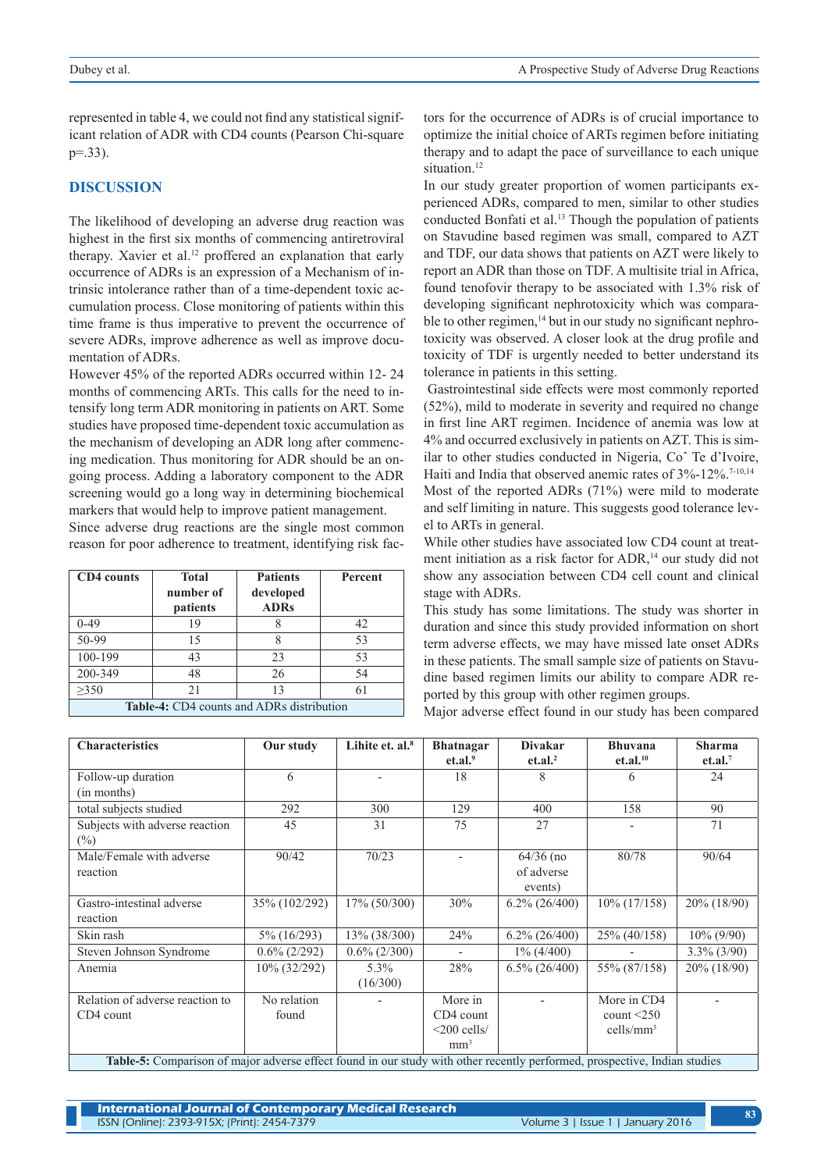represented in table 4, we could not find any statistical significant relation of ADR with CD4 counts (Pearson Chi-square p=.33).

#### **DISCUSSION**

The likelihood of developing an adverse drug reaction was highest in the first six months of commencing antiretroviral therapy. Xavier et al.<sup>12</sup> proffered an explanation that early occurrence of ADRs is an expression of a Mechanism of intrinsic intolerance rather than of a time-dependent toxic accumulation process. Close monitoring of patients within this time frame is thus imperative to prevent the occurrence of severe ADRs, improve adherence as well as improve documentation of ADRs.

However 45% of the reported ADRs occurred within 12- 24 months of commencing ARTs. This calls for the need to intensify long term ADR monitoring in patients on ART. Some studies have proposed time-dependent toxic accumulation as the mechanism of developing an ADR long after commencing medication. Thus monitoring for ADR should be an ongoing process. Adding a laboratory component to the ADR screening would go a long way in determining biochemical markers that would help to improve patient management.

Since adverse drug reactions are the single most common reason for poor adherence to treatment, identifying risk fac-

| CD4 counts                                | <b>Total</b><br>number of<br>patients | <b>Patients</b><br>developed<br><b>ADRs</b> | Percent |  |  |
|-------------------------------------------|---------------------------------------|---------------------------------------------|---------|--|--|
| $0-49$                                    | 19                                    |                                             | 42      |  |  |
| 50-99                                     | 15                                    | 8                                           | 53      |  |  |
| 100-199                                   | 43                                    | 23                                          | 53      |  |  |
| 200-349                                   | 48                                    | 26                                          | 54      |  |  |
| >350                                      | 21                                    | 13                                          | 61      |  |  |
| Table-4: CD4 counts and ADRs distribution |                                       |                                             |         |  |  |

tors for the occurrence of ADRs is of crucial importance to optimize the initial choice of ARTs regimen before initiating therapy and to adapt the pace of surveillance to each unique situation.<sup>12</sup>

In our study greater proportion of women participants experienced ADRs, compared to men, similar to other studies conducted Bonfati et al.<sup>13</sup> Though the population of patients on Stavudine based regimen was small, compared to AZT and TDF, our data shows that patients on AZT were likely to report an ADR than those on TDF. A multisite trial in Africa, found tenofovir therapy to be associated with 1.3% risk of developing significant nephrotoxicity which was comparable to other regimen,<sup>14</sup> but in our study no significant nephrotoxicity was observed. A closer look at the drug profile and toxicity of TDF is urgently needed to better understand its tolerance in patients in this setting.

 Gastrointestinal side effects were most commonly reported (52%), mild to moderate in severity and required no change in first line ART regimen. Incidence of anemia was low at 4% and occurred exclusively in patients on AZT. This is similar to other studies conducted in Nigeria, Coˆ Te d'Ivoire, Haiti and India that observed anemic rates of 3%-12%.<sup>7-10,14</sup> Most of the reported ADRs (71%) were mild to moderate and self limiting in nature. This suggests good tolerance level to ARTs in general.

While other studies have associated low CD4 count at treatment initiation as a risk factor for ADR.<sup>14</sup> our study did not show any association between CD4 cell count and clinical stage with ADRs.

This study has some limitations. The study was shorter in duration and since this study provided information on short term adverse effects, we may have missed late onset ADRs in these patients. The small sample size of patients on Stavudine based regimen limits our ability to compare ADR reported by this group with other regimen groups.

Major adverse effect found in our study has been compared

| <b>Characteristics</b>                                                                                                    | Our study            | Lihite et. $al.$ <sup>8</sup> | <b>Bhatnagar</b><br>et.al. <sup>9</sup>                      | <b>Divakar</b><br>et. al. <sup>2</sup> | <b>Bhuvana</b><br>et.al. <sup>10</sup>                 | <b>Sharma</b><br>et. al. <sup>7</sup> |
|---------------------------------------------------------------------------------------------------------------------------|----------------------|-------------------------------|--------------------------------------------------------------|----------------------------------------|--------------------------------------------------------|---------------------------------------|
| Follow-up duration<br>(in months)                                                                                         | 6                    |                               | 18                                                           | 8                                      | 6                                                      | 24                                    |
| total subjects studied                                                                                                    | 292                  | 300                           | 129                                                          | 400                                    | 158                                                    | 90                                    |
| Subjects with adverse reaction<br>$(\%)$                                                                                  | 45                   | 31                            | 75                                                           | 27                                     |                                                        | 71                                    |
| Male/Female with adverse<br>reaction                                                                                      | 90/42                | 70/23                         | $\overline{a}$                                               | $64/36$ (no<br>of adverse<br>events)   | 80/78                                                  | 90/64                                 |
| Gastro-intestinal adverse<br>reaction                                                                                     | 35% (102/292)        | $17\%$ (50/300)               | 30%                                                          | $6.2\%$ (26/400)                       | 10% (17/158)                                           | $20\%$ (18/90)                        |
| Skin rash                                                                                                                 | 5% (16/293)          | 13% (38/300)                  | 24%                                                          | $6.2\%$ (26/400)                       | 25% (40/158)                                           | $10\% (9/90)$                         |
| Steven Johnson Syndrome                                                                                                   | $0.6\%$ (2/292)      | $0.6\%$ (2/300)               | $\overline{\phantom{a}}$                                     | $1\% (4/400)$                          |                                                        | $3.3\%$ (3/90)                        |
| Anemia                                                                                                                    | 10% (32/292)         | $5.3\%$<br>(16/300)           | 28%                                                          | $6.5\%$ $(26/400)$                     | 55% (87/158)                                           | 20% (18/90)                           |
| Relation of adverse reaction to<br>CD4 count                                                                              | No relation<br>found |                               | More in<br>CD4 count<br>$\leq$ 200 cells/<br>mm <sup>3</sup> |                                        | More in CD4<br>count $\leq$ 250<br>$\text{cells/mm}^3$ |                                       |
| Table-5: Comparison of major adverse effect found in our study with other recently performed, prospective, Indian studies |                      |                               |                                                              |                                        |                                                        |                                       |

**International Journal of Contemporary Medical Research**  ISSN (Online): 2393-915X; (Print): 2454-7379 Volume 3 | Issue 1 | January 2016 **<sup>83</sup>**